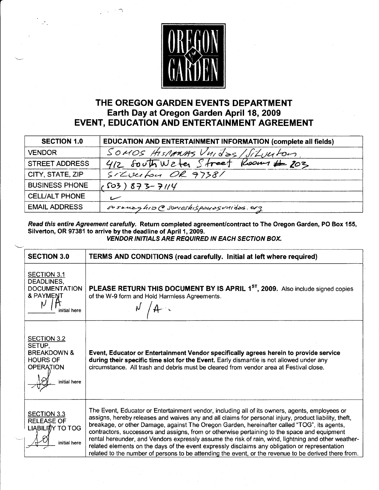

## THE OREGON GARDEN EVENTS DEPARTMENT Earth Day at Oregon Garden April 18, 2009 EVENT, EDUCATION AND ENTERTAINMENT AGREEMENT

| <b>SECTION 1.0</b>    | EDUCATION AND ENTERTAINMENT INFORMATION (complete all fields) |
|-----------------------|---------------------------------------------------------------|
| <b>VENDOR</b>         | SOMOS HISTARMAS Unidas/Silverton                              |
| <b>STREET ADDRESS</b> | 412 South Weter Street Rooms # 203                            |
| CITY, STATE, ZIP      | SILvector OR 97381                                            |
| <b>BUSINESS PHONE</b> | $(503)873 - 7114$                                             |
| <b>CELL/ALT PHONE</b> | سمسا                                                          |
| <b>EMAIL ADDRESS</b>  | susenzahib @somoshispauesunides.org                           |

Read this entire Agreement carefully. Return completed agreement/contract to The Oregon Garden, PO Box 155, Silverton, OR 97381 to arrive by the deadline of April 1, 2009. VENDOR INITIALS ARE REQUIRED IN EACH SECTION BOX.

| <b>SECTION 3.0</b>                                                                                            | <b>TERMS AND CONDITIONS (read carefully. Initial at left where required)</b>                                                                                                                                                                                                                                                                                                                                                                                                                                                                                                                                                                                                                                            |
|---------------------------------------------------------------------------------------------------------------|-------------------------------------------------------------------------------------------------------------------------------------------------------------------------------------------------------------------------------------------------------------------------------------------------------------------------------------------------------------------------------------------------------------------------------------------------------------------------------------------------------------------------------------------------------------------------------------------------------------------------------------------------------------------------------------------------------------------------|
| <b>SECTION 3.1</b><br>DEADLINES,<br><b>DOCUMENTATION</b><br><b>&amp; PAYMENT</b><br>initial here              | PLEASE RETURN THIS DOCUMENT BY IS APRIL 1 <sup>ST</sup> , 2009. Also include signed copies<br>of the W-9 form and Hold Harmless Agreements.                                                                                                                                                                                                                                                                                                                                                                                                                                                                                                                                                                             |
|                                                                                                               |                                                                                                                                                                                                                                                                                                                                                                                                                                                                                                                                                                                                                                                                                                                         |
| <b>SECTION 3.2</b><br>SETUP,<br><b>BREAKDOWN &amp;</b><br><b>HOURS OF</b><br><b>OPERATION</b><br>initial here | Event, Educator or Entertainment Vendor specifically agrees herein to provide service<br>during their specific time slot for the Event. Early dismantle is not allowed under any<br>circumstance. All trash and debris must be cleared from vendor area at Festival close.                                                                                                                                                                                                                                                                                                                                                                                                                                              |
| <b>SECTION 3.3</b><br><b>RELEASE OF</b><br>LIABILITY TO TOG<br>initial here                                   | The Event, Educator or Entertainment vendor, including all of its owners, agents, employees or<br>assigns, hereby releases and waives any and all claims for personal injury, product liability, theft,<br>breakage, or other Damage, against The Oregon Garden, hereinafter called "TOG", its agents,<br>contractors, successors and assigns, from or otherwise pertaining to the space and equipment<br>rental hereunder, and Vendors expressly assume the risk of rain, wind, lightning and other weather-<br>related elements on the days of the event expressly disclaims any obligation or representation<br>related to the number of persons to be attending the event, or the revenue to be derived there from. |